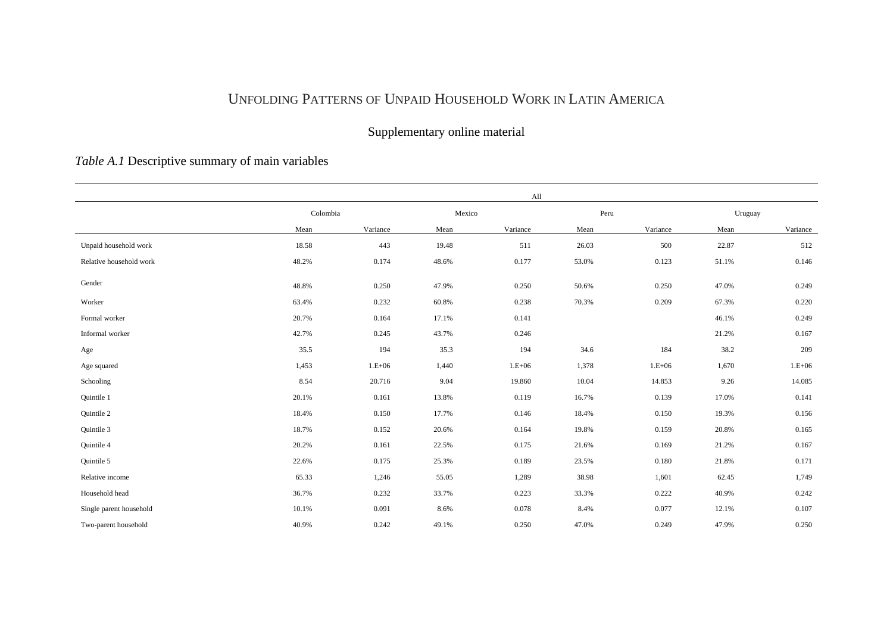## UNFOLDING PATTERNS OF UNPAID HOUSEHOLD WORK IN LATIN AMERICA

## Supplementary online material

## *Table A.1* Descriptive summary of main variables

|                         |          |          |        | All      |       |          |         |          |
|-------------------------|----------|----------|--------|----------|-------|----------|---------|----------|
|                         | Colombia |          | Mexico |          | Peru  |          | Uruguay |          |
|                         | Mean     | Variance | Mean   | Variance | Mean  | Variance | Mean    | Variance |
| Unpaid household work   | 18.58    | 443      | 19.48  | 511      | 26.03 | 500      | 22.87   | 512      |
| Relative household work | 48.2%    | 0.174    | 48.6%  | 0.177    | 53.0% | 0.123    | 51.1%   | 0.146    |
| Gender                  | 48.8%    | 0.250    | 47.9%  | 0.250    | 50.6% | 0.250    | 47.0%   | 0.249    |
| Worker                  | 63.4%    | 0.232    | 60.8%  | 0.238    | 70.3% | 0.209    | 67.3%   | 0.220    |
| Formal worker           | 20.7%    | 0.164    | 17.1%  | 0.141    |       |          | 46.1%   | 0.249    |
| Informal worker         | 42.7%    | 0.245    | 43.7%  | 0.246    |       |          | 21.2%   | 0.167    |
| Age                     | 35.5     | 194      | 35.3   | 194      | 34.6  | 184      | 38.2    | 209      |
| Age squared             | 1,453    | $1.E+06$ | 1,440  | $1.E+06$ | 1,378 | $1.E+06$ | 1,670   | $1.E+06$ |
| Schooling               | 8.54     | 20.716   | 9.04   | 19.860   | 10.04 | 14.853   | 9.26    | 14.085   |
| Quintile 1              | 20.1%    | 0.161    | 13.8%  | 0.119    | 16.7% | 0.139    | 17.0%   | 0.141    |
| Quintile 2              | 18.4%    | 0.150    | 17.7%  | 0.146    | 18.4% | 0.150    | 19.3%   | 0.156    |
| Quintile 3              | 18.7%    | 0.152    | 20.6%  | 0.164    | 19.8% | 0.159    | 20.8%   | 0.165    |
| Quintile 4              | 20.2%    | 0.161    | 22.5%  | 0.175    | 21.6% | 0.169    | 21.2%   | 0.167    |
| Quintile 5              | 22.6%    | 0.175    | 25.3%  | 0.189    | 23.5% | 0.180    | 21.8%   | 0.171    |
| Relative income         | 65.33    | 1,246    | 55.05  | 1,289    | 38.98 | 1,601    | 62.45   | 1,749    |
| Household head          | 36.7%    | 0.232    | 33.7%  | 0.223    | 33.3% | 0.222    | 40.9%   | 0.242    |
| Single parent household | 10.1%    | 0.091    | 8.6%   | 0.078    | 8.4%  | 0.077    | 12.1%   | 0.107    |
| Two-parent household    | 40.9%    | 0.242    | 49.1%  | 0.250    | 47.0% | 0.249    | 47.9%   | 0.250    |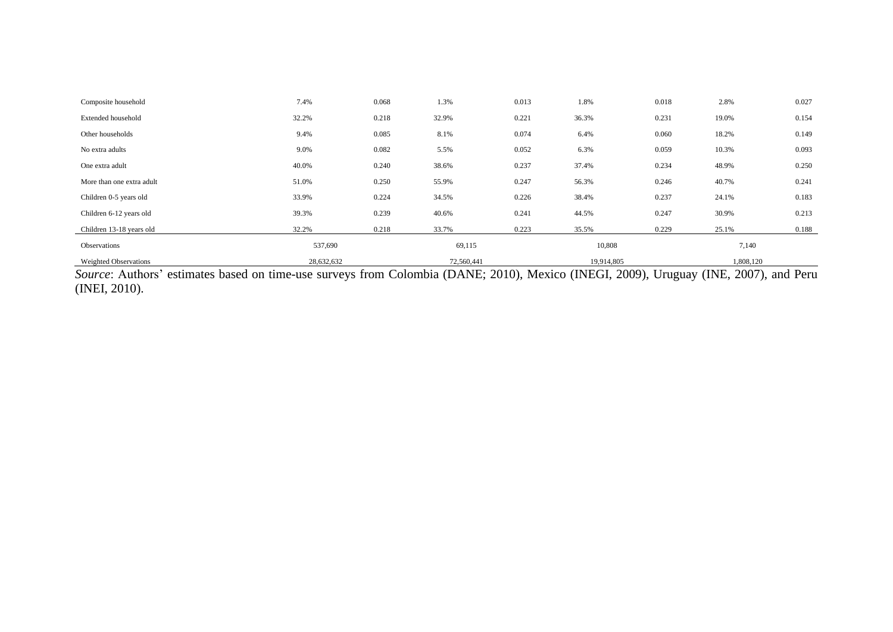| Composite household          | 7.4%       | 0.068 | 1.3%       | 0.013 | 1.8%       | 0.018 | 2.8%      | 0.027 |  |
|------------------------------|------------|-------|------------|-------|------------|-------|-----------|-------|--|
| Extended household           | 32.2%      | 0.218 | 32.9%      | 0.221 | 36.3%      | 0.231 | 19.0%     | 0.154 |  |
| Other households             | 9.4%       | 0.085 | 8.1%       | 0.074 | 6.4%       | 0.060 | 18.2%     | 0.149 |  |
| No extra adults              | 9.0%       | 0.082 | 5.5%       | 0.052 | 6.3%       | 0.059 | 10.3%     | 0.093 |  |
| One extra adult              | 40.0%      | 0.240 | 38.6%      | 0.237 | 37.4%      | 0.234 | 48.9%     | 0.250 |  |
| More than one extra adult    | 51.0%      | 0.250 | 55.9%      | 0.247 | 56.3%      | 0.246 | 40.7%     | 0.241 |  |
| Children 0-5 years old       | 33.9%      | 0.224 | 34.5%      | 0.226 | 38.4%      | 0.237 | 24.1%     | 0.183 |  |
| Children 6-12 years old      | 39.3%      | 0.239 | 40.6%      | 0.241 | 44.5%      | 0.247 | 30.9%     | 0.213 |  |
| Children 13-18 years old     | 32.2%      | 0.218 | 33.7%      | 0.223 | 35.5%      | 0.229 | 25.1%     | 0.188 |  |
| Observations                 | 537,690    |       | 69,115     |       | 10,808     |       | 7,140     |       |  |
| <b>Weighted Observations</b> | 28,632,632 |       | 72,560,441 |       | 19,914,805 |       | 1,808,120 |       |  |

*Source*: Authors' estimates based on time-use surveys from Colombia (DANE; 2010), Mexico (INEGI, 2009), Uruguay (INE, 2007), and Peru (INEI, 2010).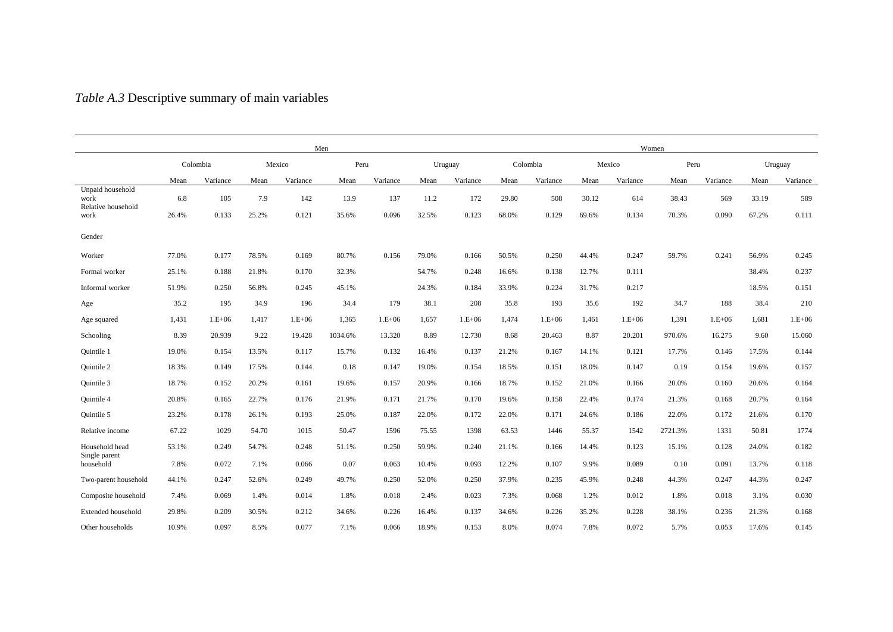## *Table A.3* Descriptive summary of main variables

|                                                | Men   |                    |       |          |         |          |         |          |       | Women    |       |          |         |          |       |          |  |
|------------------------------------------------|-------|--------------------|-------|----------|---------|----------|---------|----------|-------|----------|-------|----------|---------|----------|-------|----------|--|
|                                                |       | Mexico<br>Colombia |       |          | Peru    |          | Uruguay | Colombia |       | Mexico   |       | Peru     |         | Uruguay  |       |          |  |
|                                                | Mean  | Variance           | Mean  | Variance | Mean    | Variance | Mean    | Variance | Mean  | Variance | Mean  | Variance | Mean    | Variance | Mean  | Variance |  |
| Unpaid household<br>work<br>Relative household | 6.8   | 105                | 7.9   | 142      | 13.9    | 137      | 11.2    | 172      | 29.80 | 508      | 30.12 | 614      | 38.43   | 569      | 33.19 | 589      |  |
| work                                           | 26.4% | 0.133              | 25.2% | 0.121    | 35.6%   | 0.096    | 32.5%   | 0.123    | 68.0% | 0.129    | 69.6% | 0.134    | 70.3%   | 0.090    | 67.2% | 0.111    |  |
| Gender                                         |       |                    |       |          |         |          |         |          |       |          |       |          |         |          |       |          |  |
| Worker                                         | 77.0% | 0.177              | 78.5% | 0.169    | 80.7%   | 0.156    | 79.0%   | 0.166    | 50.5% | 0.250    | 44.4% | 0.247    | 59.7%   | 0.241    | 56.9% | 0.245    |  |
| Formal worker                                  | 25.1% | 0.188              | 21.8% | 0.170    | 32.3%   |          | 54.7%   | 0.248    | 16.6% | 0.138    | 12.7% | 0.111    |         |          | 38.4% | 0.237    |  |
| Informal worker                                | 51.9% | 0.250              | 56.8% | 0.245    | 45.1%   |          | 24.3%   | 0.184    | 33.9% | 0.224    | 31.7% | 0.217    |         |          | 18.5% | 0.151    |  |
| Age                                            | 35.2  | 195                | 34.9  | 196      | 34.4    | 179      | 38.1    | 208      | 35.8  | 193      | 35.6  | 192      | 34.7    | 188      | 38.4  | 210      |  |
| Age squared                                    | 1,431 | $1.E+06$           | 1,417 | $1.E+06$ | 1,365   | $1.E+06$ | 1,657   | $1.E+06$ | 1,474 | $1.E+06$ | 1,461 | $1.E+06$ | 1,391   | $1.E+06$ | 1,681 | $1.E+06$ |  |
| Schooling                                      | 8.39  | 20.939             | 9.22  | 19.428   | 1034.6% | 13.320   | 8.89    | 12.730   | 8.68  | 20.463   | 8.87  | 20.201   | 970.6%  | 16.275   | 9.60  | 15.060   |  |
| Quintile 1                                     | 19.0% | 0.154              | 13.5% | 0.117    | 15.7%   | 0.132    | 16.4%   | 0.137    | 21.2% | 0.167    | 14.1% | 0.121    | 17.7%   | 0.146    | 17.5% | 0.144    |  |
| Quintile 2                                     | 18.3% | 0.149              | 17.5% | 0.144    | 0.18    | 0.147    | 19.0%   | 0.154    | 18.5% | 0.151    | 18.0% | 0.147    | 0.19    | 0.154    | 19.6% | 0.157    |  |
| Quintile 3                                     | 18.7% | 0.152              | 20.2% | 0.161    | 19.6%   | 0.157    | 20.9%   | 0.166    | 18.7% | 0.152    | 21.0% | 0.166    | 20.0%   | 0.160    | 20.6% | 0.164    |  |
| Quintile 4                                     | 20.8% | 0.165              | 22.7% | 0.176    | 21.9%   | 0.171    | 21.7%   | 0.170    | 19.6% | 0.158    | 22.4% | 0.174    | 21.3%   | 0.168    | 20.7% | 0.164    |  |
| Quintile 5                                     | 23.2% | 0.178              | 26.1% | 0.193    | 25.0%   | 0.187    | 22.0%   | 0.172    | 22.0% | 0.171    | 24.6% | 0.186    | 22.0%   | 0.172    | 21.6% | 0.170    |  |
| Relative income                                | 67.22 | 1029               | 54.70 | 1015     | 50.47   | 1596     | 75.55   | 1398     | 63.53 | 1446     | 55.37 | 1542     | 2721.3% | 1331     | 50.81 | 1774     |  |
| Household head                                 | 53.1% | 0.249              | 54.7% | 0.248    | 51.1%   | 0.250    | 59.9%   | 0.240    | 21.1% | 0.166    | 14.4% | 0.123    | 15.1%   | 0.128    | 24.0% | 0.182    |  |
| Single parent<br>household                     | 7.8%  | 0.072              | 7.1%  | 0.066    | 0.07    | 0.063    | 10.4%   | 0.093    | 12.2% | 0.107    | 9.9%  | 0.089    | 0.10    | 0.091    | 13.7% | 0.118    |  |
| Two-parent household                           | 44.1% | 0.247              | 52.6% | 0.249    | 49.7%   | 0.250    | 52.0%   | 0.250    | 37.9% | 0.235    | 45.9% | 0.248    | 44.3%   | 0.247    | 44.3% | 0.247    |  |
| Composite household                            | 7.4%  | 0.069              | 1.4%  | 0.014    | 1.8%    | 0.018    | 2.4%    | 0.023    | 7.3%  | 0.068    | 1.2%  | 0.012    | 1.8%    | 0.018    | 3.1%  | 0.030    |  |
| Extended household                             | 29.8% | 0.209              | 30.5% | 0.212    | 34.6%   | 0.226    | 16.4%   | 0.137    | 34.6% | 0.226    | 35.2% | 0.228    | 38.1%   | 0.236    | 21.3% | 0.168    |  |
| Other households                               | 10.9% | 0.097              | 8.5%  | 0.077    | 7.1%    | 0.066    | 18.9%   | 0.153    | 8.0%  | 0.074    | 7.8%  | 0.072    | 5.7%    | 0.053    | 17.6% | 0.145    |  |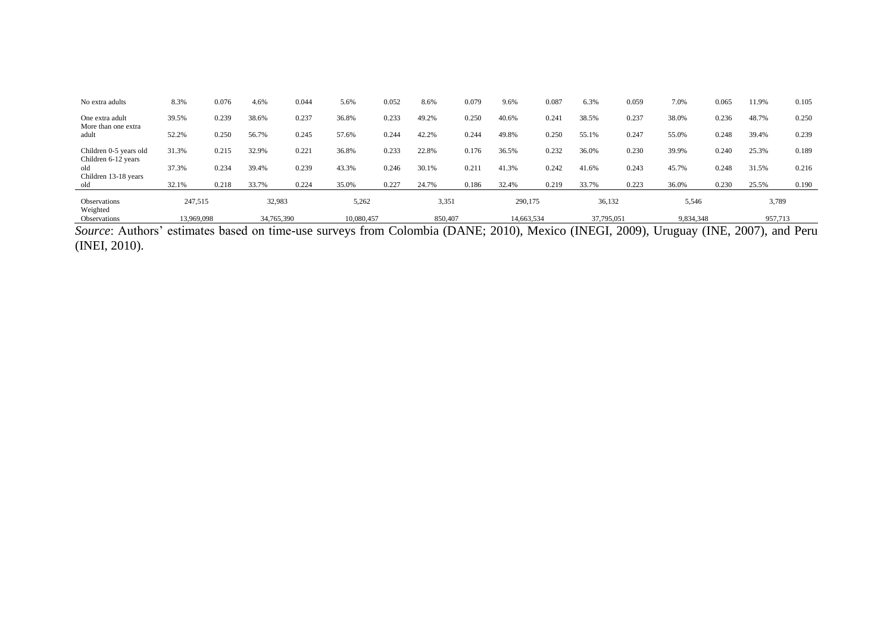| No extra adults                                    | 8.3%       | 0.076 | 4.6%       | 0.044 | 5.6%       | 0.052 | 8.6%    | 0.079 | 9.6%       | 0.087 | 6.3%       | 0.059 | 7.0%      | 0.065 | 11.9%   | 0.105 |
|----------------------------------------------------|------------|-------|------------|-------|------------|-------|---------|-------|------------|-------|------------|-------|-----------|-------|---------|-------|
| One extra adult                                    | 39.5%      | 0.239 | 38.6%      | 0.237 | 36.8%      | 0.233 | 49.2%   | 0.250 | 40.6%      | 0.24  | 38.5%      | 0.237 | 38.0%     | 0.236 | 48.7%   | 0.250 |
| More than one extra<br>adult                       | 52.2%      | 0.250 | 56.7%      | 0.245 | 57.6%      | 0.244 | 42.2%   | 0.244 | 49.8%      | 0.250 | 55.1%      | 0.247 | 55.0%     | 0.248 | 39.4%   | 0.239 |
| Children 0-5 years old                             | 31.3%      | 0.215 | 32.9%      | 0.22  | 36.8%      | 0.233 | 22.8%   | 0.176 | 36.5%      | 0.232 | 36.0%      | 0.230 | 39.9%     | 0.240 | 25.3%   | 0.189 |
| Children 6-12 years<br>old<br>Children 13-18 years | 37.3%      | 0.234 | 39.4%      | 0.239 | 43.3%      | 0.246 | 30.1%   | 0.21  | 41.3%      | 0.242 | 41.6%      | 0.243 | 45.7%     | 0.248 | 31.5%   | 0.216 |
| old                                                | 32.1%      | 0.218 | 33.7%      | 0.224 | 35.0%      | 0.227 | 24.7%   | 0.186 | 32.4%      | 0.219 | 33.7%      | 0.223 | 36.0%     | 0.230 | 25.5%   | 0.190 |
| Observations<br>Weighted                           | 247,515    |       | 32,983     |       | 5,262      |       | 3,351   |       | 290,175    |       | 36,132     |       | 5,546     |       | 3,789   |       |
| <b>Observations</b>                                | 13.969.098 |       | 34,765,390 |       | 10,080,457 |       | 850,407 |       | 14,663,534 |       | 37,795,051 |       | 9,834,348 |       | 957,713 |       |

*Source*: Authors' estimates based on time-use surveys from Colombia (DANE; 2010), Mexico (INEGI, 2009), Uruguay (INE, 2007), and Peru (INEI, 2010).